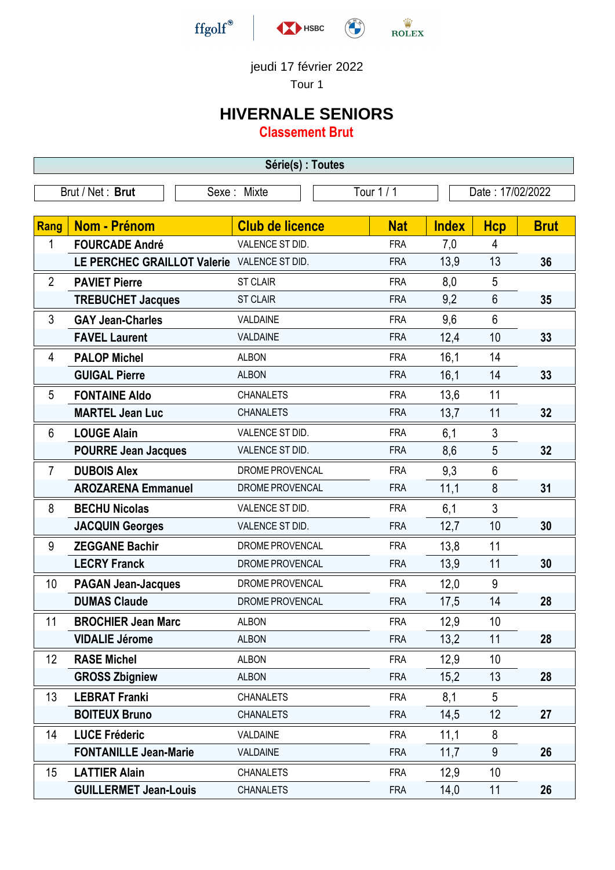

## jeudi 17 février 2022

Tour 1

## **HIVERNALE SENIORS**

**Classement Brut**

| Série(s) : Toutes                                                 |                                             |                        |            |              |                |             |
|-------------------------------------------------------------------|---------------------------------------------|------------------------|------------|--------------|----------------|-------------|
| Brut / Net: Brut<br>Tour 1 / 1<br>Sexe: Mixte<br>Date: 17/02/2022 |                                             |                        |            |              |                |             |
|                                                                   |                                             |                        |            |              |                |             |
| <b>Rang</b>                                                       | <b>Nom - Prénom</b>                         | <b>Club de licence</b> | <b>Nat</b> | <b>Index</b> | <b>Hcp</b>     | <b>Brut</b> |
| 1                                                                 | <b>FOURCADE André</b>                       | VALENCE ST DID.        | <b>FRA</b> | 7,0          | 4              |             |
|                                                                   | LE PERCHEC GRAILLOT Valerie VALENCE ST DID. |                        | <b>FRA</b> | 13,9         | 13             | 36          |
| $\overline{2}$                                                    | <b>PAVIET Pierre</b>                        | <b>ST CLAIR</b>        | <b>FRA</b> | 8,0          | 5              |             |
|                                                                   | <b>TREBUCHET Jacques</b>                    | <b>ST CLAIR</b>        | <b>FRA</b> | 9,2          | 6              | 35          |
| 3                                                                 | <b>GAY Jean-Charles</b>                     | VALDAINE               | <b>FRA</b> | 9,6          | $6\phantom{1}$ |             |
|                                                                   | <b>FAVEL Laurent</b>                        | VALDAINE               | <b>FRA</b> | 12,4         | 10             | 33          |
| 4                                                                 | <b>PALOP Michel</b>                         | <b>ALBON</b>           | <b>FRA</b> | 16,1         | 14             |             |
|                                                                   | <b>GUIGAL Pierre</b>                        | <b>ALBON</b>           | <b>FRA</b> | 16,1         | 14             | 33          |
| 5                                                                 | <b>FONTAINE Aldo</b>                        | <b>CHANALETS</b>       | <b>FRA</b> | 13,6         | 11             |             |
|                                                                   | <b>MARTEL Jean Luc</b>                      | <b>CHANALETS</b>       | <b>FRA</b> | 13,7         | 11             | 32          |
| 6                                                                 | <b>LOUGE Alain</b>                          | VALENCE ST DID.        | <b>FRA</b> | 6,1          | $\mathfrak{Z}$ |             |
|                                                                   | <b>POURRE Jean Jacques</b>                  | VALENCE ST DID.        | <b>FRA</b> | 8,6          | 5              | 32          |
| $\overline{7}$                                                    | <b>DUBOIS Alex</b>                          | DROME PROVENCAL        | <b>FRA</b> | 9,3          | 6              |             |
|                                                                   | <b>AROZARENA Emmanuel</b>                   | DROME PROVENCAL        | <b>FRA</b> | 11,1         | 8              | 31          |
| 8                                                                 | <b>BECHU Nicolas</b>                        | VALENCE ST DID.        | <b>FRA</b> | 6,1          | 3              |             |
|                                                                   | <b>JACQUIN Georges</b>                      | VALENCE ST DID.        | <b>FRA</b> | 12,7         | 10             | 30          |
| 9                                                                 | <b>ZEGGANE Bachir</b>                       | DROME PROVENCAL        | <b>FRA</b> | 13,8         | 11             |             |
|                                                                   | <b>LECRY Franck</b>                         | DROME PROVENCAL        | <b>FRA</b> | 13,9         | 11             | 30          |
| 10                                                                | <b>PAGAN Jean-Jacques</b>                   | DROME PROVENCAL        | <b>FRA</b> | 12,0         | 9              |             |
|                                                                   | <b>DUMAS Claude</b>                         | DROME PROVENCAL        | <b>FRA</b> | 17,5         | 14             | 28          |
| 11                                                                | <b>BROCHIER Jean Marc</b>                   | <b>ALBON</b>           | <b>FRA</b> | 12,9         | 10             |             |
|                                                                   | <b>VIDALIE Jérome</b>                       | <b>ALBON</b>           | <b>FRA</b> | 13,2         | 11             | 28          |
| 12                                                                | <b>RASE Michel</b>                          | <b>ALBON</b>           | <b>FRA</b> | 12,9         | 10             |             |
|                                                                   | <b>GROSS Zbigniew</b>                       | <b>ALBON</b>           | <b>FRA</b> | 15,2         | 13             | 28          |
| 13                                                                | <b>LEBRAT Franki</b>                        | <b>CHANALETS</b>       | <b>FRA</b> | 8,1          | 5              |             |
|                                                                   | <b>BOITEUX Bruno</b>                        | <b>CHANALETS</b>       | <b>FRA</b> | 14,5         | 12             | 27          |
| 14                                                                | <b>LUCE Fréderic</b>                        | VALDAINE               | <b>FRA</b> | 11,1         | 8              |             |
|                                                                   | <b>FONTANILLE Jean-Marie</b>                | VALDAINE               | <b>FRA</b> | 11,7         | 9              | 26          |
| 15                                                                | <b>LATTIER Alain</b>                        | <b>CHANALETS</b>       | <b>FRA</b> | 12,9         | 10             |             |
|                                                                   | <b>GUILLERMET Jean-Louis</b>                | <b>CHANALETS</b>       | <b>FRA</b> | 14,0         | 11             | 26          |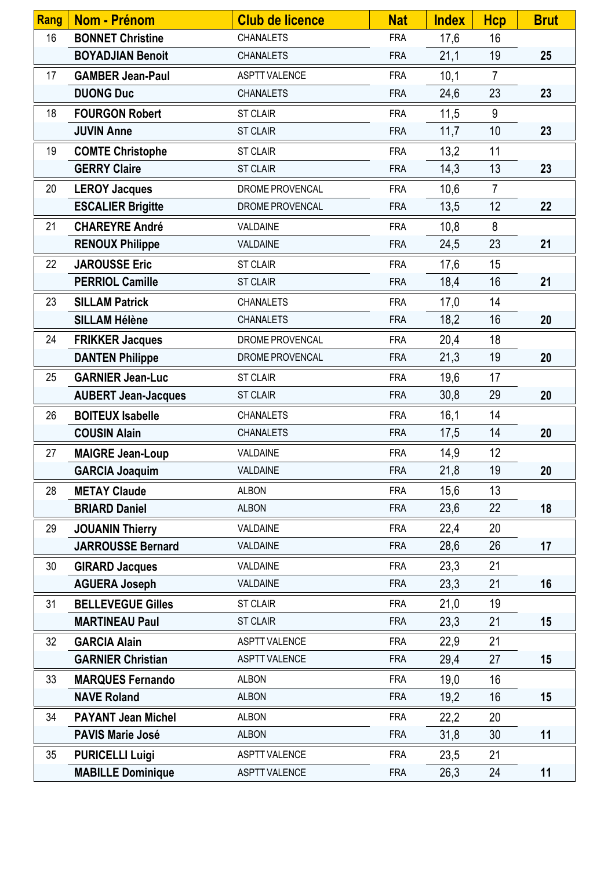| <b>Rang</b> | Nom - Prénom               | <b>Club de licence</b> | <b>Nat</b> | <b>Index</b> | <b>Hcp</b>     | <b>Brut</b> |
|-------------|----------------------------|------------------------|------------|--------------|----------------|-------------|
| 16          | <b>BONNET Christine</b>    | <b>CHANALETS</b>       | <b>FRA</b> | 17,6         | 16             |             |
|             | <b>BOYADJIAN Benoit</b>    | <b>CHANALETS</b>       | <b>FRA</b> | 21,1         | 19             | 25          |
| 17          | <b>GAMBER Jean-Paul</b>    | <b>ASPTT VALENCE</b>   | <b>FRA</b> | 10,1         | $\overline{7}$ |             |
|             | <b>DUONG Duc</b>           | <b>CHANALETS</b>       | <b>FRA</b> | 24,6         | 23             | 23          |
| 18          | <b>FOURGON Robert</b>      | <b>ST CLAIR</b>        | <b>FRA</b> | 11,5         | 9              |             |
|             | <b>JUVIN Anne</b>          | <b>ST CLAIR</b>        | <b>FRA</b> | 11,7         | 10             | 23          |
| 19          | <b>COMTE Christophe</b>    | <b>ST CLAIR</b>        | <b>FRA</b> | 13,2         | 11             |             |
|             | <b>GERRY Claire</b>        | <b>ST CLAIR</b>        | <b>FRA</b> | 14,3         | 13             | 23          |
| 20          | <b>LEROY Jacques</b>       | DROME PROVENCAL        | <b>FRA</b> | 10,6         | $\overline{7}$ |             |
|             | <b>ESCALIER Brigitte</b>   | DROME PROVENCAL        | <b>FRA</b> | 13,5         | 12             | 22          |
| 21          | <b>CHAREYRE André</b>      | VALDAINE               | <b>FRA</b> | 10,8         | 8              |             |
|             | <b>RENOUX Philippe</b>     | VALDAINE               | <b>FRA</b> | 24,5         | 23             | 21          |
| 22          | <b>JAROUSSE Eric</b>       | <b>ST CLAIR</b>        | <b>FRA</b> | 17,6         | 15             |             |
|             | <b>PERRIOL Camille</b>     | <b>ST CLAIR</b>        | <b>FRA</b> | 18,4         | 16             | 21          |
| 23          | <b>SILLAM Patrick</b>      | <b>CHANALETS</b>       | <b>FRA</b> | 17,0         | 14             |             |
|             | <b>SILLAM Hélène</b>       | <b>CHANALETS</b>       | <b>FRA</b> | 18,2         | 16             | 20          |
| 24          | <b>FRIKKER Jacques</b>     | DROME PROVENCAL        | <b>FRA</b> | 20,4         | 18             |             |
|             | <b>DANTEN Philippe</b>     | DROME PROVENCAL        | <b>FRA</b> | 21,3         | 19             | 20          |
| 25          | <b>GARNIER Jean-Luc</b>    | <b>ST CLAIR</b>        | <b>FRA</b> | 19,6         | 17             |             |
|             | <b>AUBERT Jean-Jacques</b> | <b>ST CLAIR</b>        | <b>FRA</b> | 30,8         | 29             | 20          |
| 26          | <b>BOITEUX Isabelle</b>    | <b>CHANALETS</b>       | <b>FRA</b> | 16,1         | 14             |             |
|             | <b>COUSIN Alain</b>        | <b>CHANALETS</b>       | <b>FRA</b> | 17,5         | 14             | 20          |
| 27          | <b>MAIGRE Jean-Loup</b>    | VALDAINE               | <b>FRA</b> | 14,9         | 12             |             |
|             | <b>GARCIA Joaquim</b>      | VALDAINE               | <b>FRA</b> | 21,8         | 19             | 20          |
| 28          | <b>METAY Claude</b>        | <b>ALBON</b>           | <b>FRA</b> | 15,6         | 13             |             |
|             | <b>BRIARD Daniel</b>       | <b>ALBON</b>           | <b>FRA</b> | 23,6         | 22             | 18          |
| 29          | <b>JOUANIN Thierry</b>     | VALDAINE               | <b>FRA</b> | 22,4         | 20             |             |
|             | <b>JARROUSSE Bernard</b>   | VALDAINE               | <b>FRA</b> | 28,6         | 26             | 17          |
| 30          | <b>GIRARD Jacques</b>      | VALDAINE               | <b>FRA</b> | 23,3         | 21             |             |
|             | <b>AGUERA Joseph</b>       | VALDAINE               | <b>FRA</b> | 23,3         | 21             | 16          |
| 31          | <b>BELLEVEGUE Gilles</b>   | <b>ST CLAIR</b>        | <b>FRA</b> | 21,0         | 19             |             |
|             | <b>MARTINEAU Paul</b>      | <b>ST CLAIR</b>        | <b>FRA</b> | 23,3         | 21             | 15          |
| 32          | <b>GARCIA Alain</b>        | <b>ASPTT VALENCE</b>   | <b>FRA</b> | 22,9         | 21             |             |
|             | <b>GARNIER Christian</b>   | <b>ASPTT VALENCE</b>   | <b>FRA</b> | 29,4         | 27             | 15          |
| 33          | <b>MARQUES Fernando</b>    | <b>ALBON</b>           | <b>FRA</b> | 19,0         | 16             |             |
|             | <b>NAVE Roland</b>         | <b>ALBON</b>           | <b>FRA</b> | 19,2         | 16             | 15          |
| 34          | <b>PAYANT Jean Michel</b>  | <b>ALBON</b>           | <b>FRA</b> | 22,2         | 20             |             |
|             | <b>PAVIS Marie José</b>    | <b>ALBON</b>           | <b>FRA</b> | 31,8         | 30             | 11          |
| 35          | <b>PURICELLI Luigi</b>     | <b>ASPTT VALENCE</b>   | <b>FRA</b> | 23,5         | 21             |             |
|             | <b>MABILLE Dominique</b>   | <b>ASPTT VALENCE</b>   | <b>FRA</b> | 26,3         | 24             | 11          |